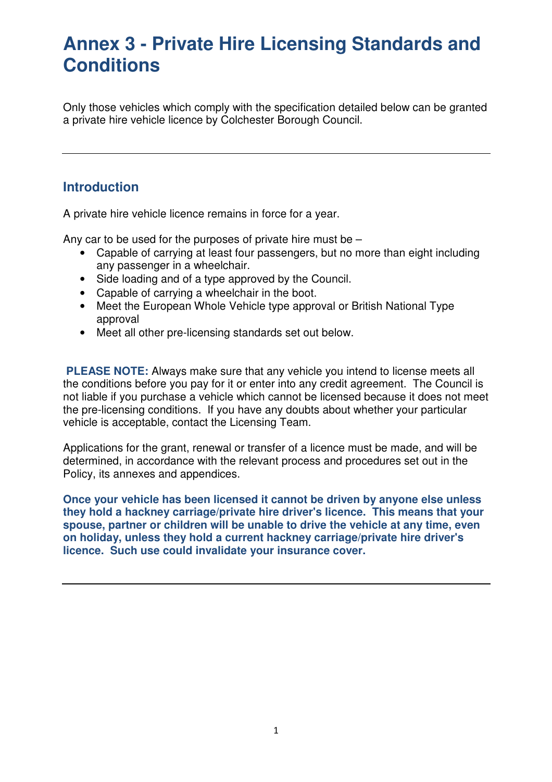Only those vehicles which comply with the specification detailed below can be granted a private hire vehicle licence by Colchester Borough Council.

## **Introduction**

A private hire vehicle licence remains in force for a year.

Any car to be used for the purposes of private hire must be –

- Capable of carrying at least four passengers, but no more than eight including any passenger in a wheelchair.
- Side loading and of a type approved by the Council.
- Capable of carrying a wheelchair in the boot.
- Meet the European Whole Vehicle type approval or British National Type approval
- Meet all other pre-licensing standards set out below.

**PLEASE NOTE:** Always make sure that any vehicle you intend to license meets all the conditions before you pay for it or enter into any credit agreement. The Council is not liable if you purchase a vehicle which cannot be licensed because it does not meet the pre-licensing conditions. If you have any doubts about whether your particular vehicle is acceptable, contact the Licensing Team.

Applications for the grant, renewal or transfer of a licence must be made, and will be determined, in accordance with the relevant process and procedures set out in the Policy, its annexes and appendices.

**Once your vehicle has been licensed it cannot be driven by anyone else unless they hold a hackney carriage/private hire driver's licence. This means that your spouse, partner or children will be unable to drive the vehicle at any time, even on holiday, unless they hold a current hackney carriage/private hire driver's licence. Such use could invalidate your insurance cover.**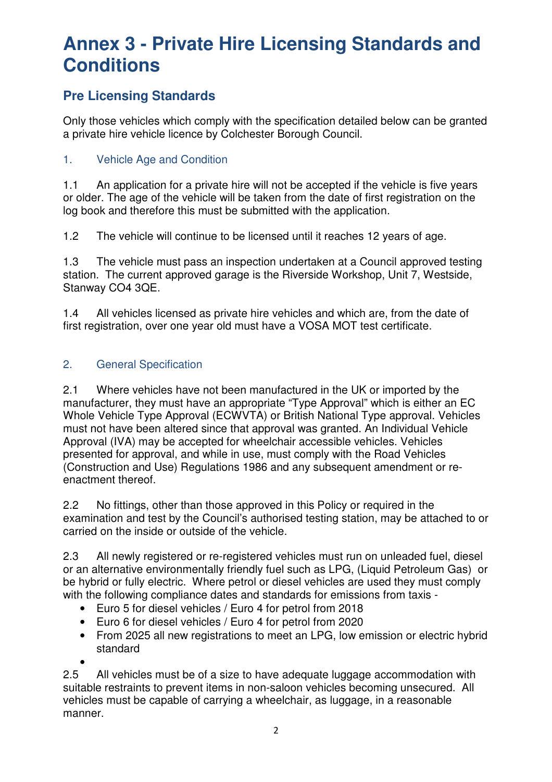# **Pre Licensing Standards**

Only those vehicles which comply with the specification detailed below can be granted a private hire vehicle licence by Colchester Borough Council.

### 1. Vehicle Age and Condition

1.1 An application for a private hire will not be accepted if the vehicle is five years or older. The age of the vehicle will be taken from the date of first registration on the log book and therefore this must be submitted with the application.

1.2 The vehicle will continue to be licensed until it reaches 12 years of age.

1.3 The vehicle must pass an inspection undertaken at a Council approved testing station. The current approved garage is the Riverside Workshop, Unit 7, Westside, Stanway CO4 3QE.

1.4 All vehicles licensed as private hire vehicles and which are, from the date of first registration, over one year old must have a VOSA MOT test certificate.

### 2. General Specification

2.1 Where vehicles have not been manufactured in the UK or imported by the manufacturer, they must have an appropriate "Type Approval" which is either an EC Whole Vehicle Type Approval (ECWVTA) or British National Type approval. Vehicles must not have been altered since that approval was granted. An Individual Vehicle Approval (IVA) may be accepted for wheelchair accessible vehicles. Vehicles presented for approval, and while in use, must comply with the Road Vehicles (Construction and Use) Regulations 1986 and any subsequent amendment or reenactment thereof.

2.2 No fittings, other than those approved in this Policy or required in the examination and test by the Council's authorised testing station, may be attached to or carried on the inside or outside of the vehicle.

2.3 All newly registered or re-registered vehicles must run on unleaded fuel, diesel or an alternative environmentally friendly fuel such as LPG, (Liquid Petroleum Gas) or be hybrid or fully electric. Where petrol or diesel vehicles are used they must comply with the following compliance dates and standards for emissions from taxis -

- Euro 5 for diesel vehicles / Euro 4 for petrol from 2018
- Euro 6 for diesel vehicles / Euro 4 for petrol from 2020
- From 2025 all new registrations to meet an LPG, low emission or electric hybrid standard •

2.5 All vehicles must be of a size to have adequate luggage accommodation with suitable restraints to prevent items in non-saloon vehicles becoming unsecured. All vehicles must be capable of carrying a wheelchair, as luggage, in a reasonable manner.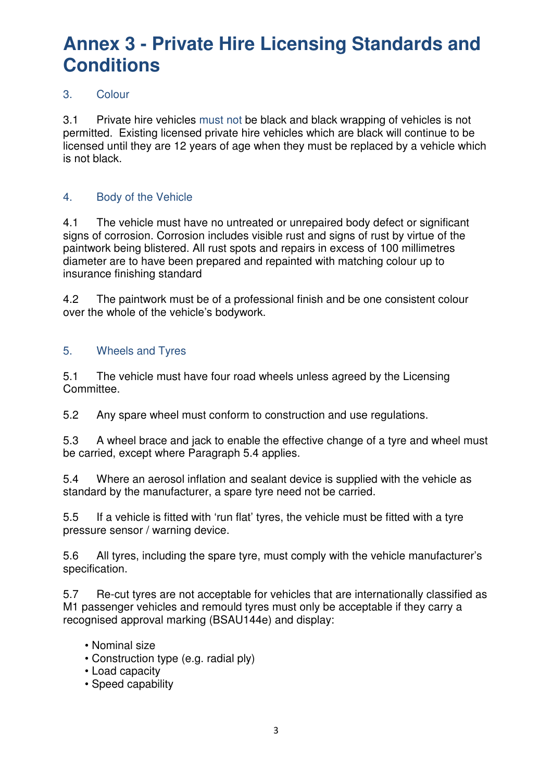### 3. Colour

3.1 Private hire vehicles must not be black and black wrapping of vehicles is not permitted. Existing licensed private hire vehicles which are black will continue to be licensed until they are 12 years of age when they must be replaced by a vehicle which is not black.

### 4. Body of the Vehicle

4.1 The vehicle must have no untreated or unrepaired body defect or significant signs of corrosion. Corrosion includes visible rust and signs of rust by virtue of the paintwork being blistered. All rust spots and repairs in excess of 100 millimetres diameter are to have been prepared and repainted with matching colour up to insurance finishing standard

4.2 The paintwork must be of a professional finish and be one consistent colour over the whole of the vehicle's bodywork.

### 5. Wheels and Tyres

5.1 The vehicle must have four road wheels unless agreed by the Licensing Committee.

5.2 Any spare wheel must conform to construction and use regulations.

5.3 A wheel brace and jack to enable the effective change of a tyre and wheel must be carried, except where Paragraph 5.4 applies.

5.4 Where an aerosol inflation and sealant device is supplied with the vehicle as standard by the manufacturer, a spare tyre need not be carried.

5.5 If a vehicle is fitted with 'run flat' tyres, the vehicle must be fitted with a tyre pressure sensor / warning device.

5.6 All tyres, including the spare tyre, must comply with the vehicle manufacturer's specification.

5.7 Re-cut tyres are not acceptable for vehicles that are internationally classified as M1 passenger vehicles and remould tyres must only be acceptable if they carry a recognised approval marking (BSAU144e) and display:

- Nominal size
- Construction type (e.g. radial ply)
- Load capacity
- Speed capability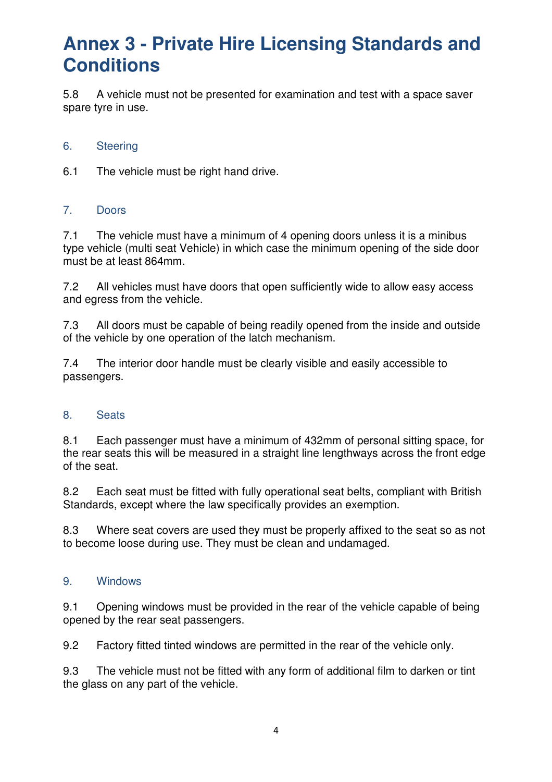5.8 A vehicle must not be presented for examination and test with a space saver spare tyre in use.

#### 6. Steering

6.1 The vehicle must be right hand drive.

#### 7. Doors

7.1 The vehicle must have a minimum of 4 opening doors unless it is a minibus type vehicle (multi seat Vehicle) in which case the minimum opening of the side door must be at least 864mm.

7.2 All vehicles must have doors that open sufficiently wide to allow easy access and egress from the vehicle.

7.3 All doors must be capable of being readily opened from the inside and outside of the vehicle by one operation of the latch mechanism.

7.4 The interior door handle must be clearly visible and easily accessible to passengers.

#### 8. Seats

8.1 Each passenger must have a minimum of 432mm of personal sitting space, for the rear seats this will be measured in a straight line lengthways across the front edge of the seat.

8.2 Each seat must be fitted with fully operational seat belts, compliant with British Standards, except where the law specifically provides an exemption.

8.3 Where seat covers are used they must be properly affixed to the seat so as not to become loose during use. They must be clean and undamaged.

#### 9. Windows

9.1 Opening windows must be provided in the rear of the vehicle capable of being opened by the rear seat passengers.

9.2 Factory fitted tinted windows are permitted in the rear of the vehicle only.

9.3 The vehicle must not be fitted with any form of additional film to darken or tint the glass on any part of the vehicle.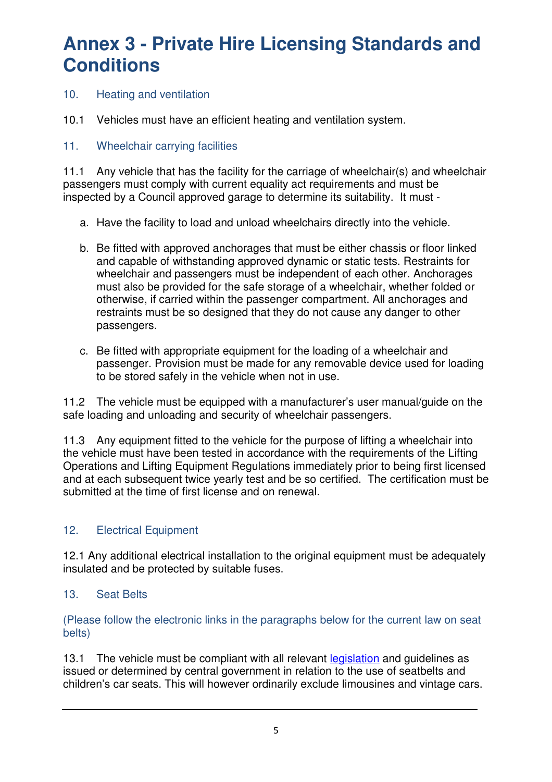- 10. Heating and ventilation
- 10.1 Vehicles must have an efficient heating and ventilation system.
- 11. Wheelchair carrying facilities

11.1 Any vehicle that has the facility for the carriage of wheelchair(s) and wheelchair passengers must comply with current equality act requirements and must be inspected by a Council approved garage to determine its suitability. It must -

- a. Have the facility to load and unload wheelchairs directly into the vehicle.
- b. Be fitted with approved anchorages that must be either chassis or floor linked and capable of withstanding approved dynamic or static tests. Restraints for wheelchair and passengers must be independent of each other. Anchorages must also be provided for the safe storage of a wheelchair, whether folded or otherwise, if carried within the passenger compartment. All anchorages and restraints must be so designed that they do not cause any danger to other passengers.
- c. Be fitted with appropriate equipment for the loading of a wheelchair and passenger. Provision must be made for any removable device used for loading to be stored safely in the vehicle when not in use.

11.2 The vehicle must be equipped with a manufacturer's user manual/guide on the safe loading and unloading and security of wheelchair passengers.

11.3 Any equipment fitted to the vehicle for the purpose of lifting a wheelchair into the vehicle must have been tested in accordance with the requirements of the Lifting Operations and Lifting Equipment Regulations immediately prior to being first licensed and at each subsequent twice yearly test and be so certified. The certification must be submitted at the time of first license and on renewal.

### 12. Electrical Equipment

12.1 Any additional electrical installation to the original equipment must be adequately insulated and be protected by suitable fuses.

13. Seat Belts

(Please follow the electronic links in the paragraphs below for the current law on seat belts)

13.1 The vehicle must be compliant with all relevant legislation and quidelines as issued or determined by central government in relation to the use of seatbelts and children's car seats. This will however ordinarily exclude limousines and vintage cars.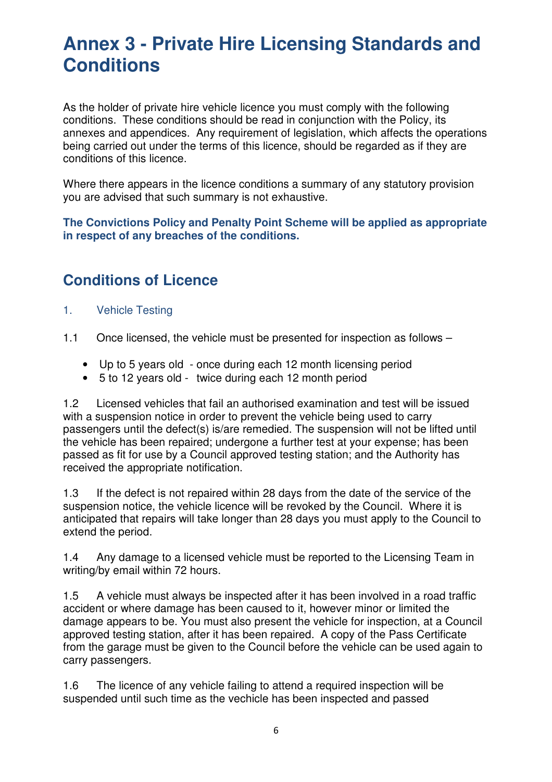As the holder of private hire vehicle licence you must comply with the following conditions. These conditions should be read in conjunction with the Policy, its annexes and appendices. Any requirement of legislation, which affects the operations being carried out under the terms of this licence, should be regarded as if they are conditions of this licence.

Where there appears in the licence conditions a summary of any statutory provision you are advised that such summary is not exhaustive.

**The Convictions Policy and Penalty Point Scheme will be applied as appropriate in respect of any breaches of the conditions.** 

# **Conditions of Licence**

- 1. Vehicle Testing
- 1.1 Once licensed, the vehicle must be presented for inspection as follows
	- Up to 5 years old once during each 12 month licensing period
	- 5 to 12 years old twice during each 12 month period

1.2 Licensed vehicles that fail an authorised examination and test will be issued with a suspension notice in order to prevent the vehicle being used to carry passengers until the defect(s) is/are remedied. The suspension will not be lifted until the vehicle has been repaired; undergone a further test at your expense; has been passed as fit for use by a Council approved testing station; and the Authority has received the appropriate notification.

1.3 If the defect is not repaired within 28 days from the date of the service of the suspension notice, the vehicle licence will be revoked by the Council. Where it is anticipated that repairs will take longer than 28 days you must apply to the Council to extend the period.

1.4 Any damage to a licensed vehicle must be reported to the Licensing Team in writing/by email within 72 hours.

1.5 A vehicle must always be inspected after it has been involved in a road traffic accident or where damage has been caused to it, however minor or limited the damage appears to be. You must also present the vehicle for inspection, at a Council approved testing station, after it has been repaired. A copy of the Pass Certificate from the garage must be given to the Council before the vehicle can be used again to carry passengers.

1.6 The licence of any vehicle failing to attend a required inspection will be suspended until such time as the vechicle has been inspected and passed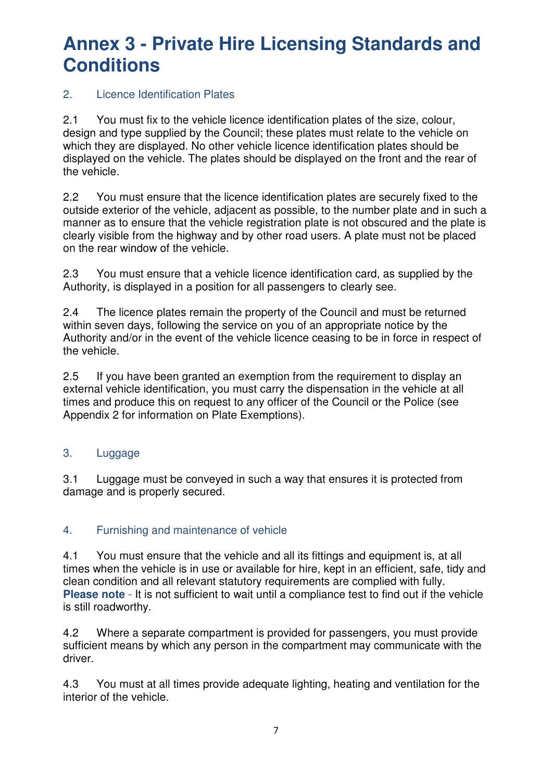### 2. Licence Identification Plates

2.1 You must fix to the vehicle licence identification plates of the size, colour, design and type supplied by the Council; these plates must relate to the vehicle on which they are displayed. No other vehicle licence identification plates should be displayed on the vehicle. The plates should be displayed on the front and the rear of the vehicle.

2.2 You must ensure that the licence identification plates are securely fixed to the outside exterior of the vehicle, adjacent as possible, to the number plate and in such a manner as to ensure that the vehicle registration plate is not obscured and the plate is clearly visible from the highway and by other road users. A plate must not be placed on the rear window of the vehicle.

2.3 You must ensure that a vehicle licence identification card, as supplied by the Authority, is displayed in a position for all passengers to clearly see.

2.4 The licence plates remain the property of the Council and must be returned within seven days, following the service on you of an appropriate notice by the Authority and/or in the event of the vehicle licence ceasing to be in force in respect of the vehicle.

2.5 If you have been granted an exemption from the requirement to display an external vehicle identification, you must carry the dispensation in the vehicle at all times and produce this on request to any officer of the Council or the Police (see Appendix 2 for information on Plate Exemptions).

#### 3. Luggage

3.1 Luggage must be conveyed in such a way that ensures it is protected from damage and is properly secured.

### 4. Furnishing and maintenance of vehicle

4.1 You must ensure that the vehicle and all its fittings and equipment is, at all times when the vehicle is in use or available for hire, kept in an efficient, safe, tidy and clean condition and all relevant statutory requirements are complied with fully. **Please note** - It is not sufficient to wait until a compliance test to find out if the vehicle is still roadworthy.

4.2 Where a separate compartment is provided for passengers, you must provide sufficient means by which any person in the compartment may communicate with the driver.

4.3 You must at all times provide adequate lighting, heating and ventilation for the interior of the vehicle.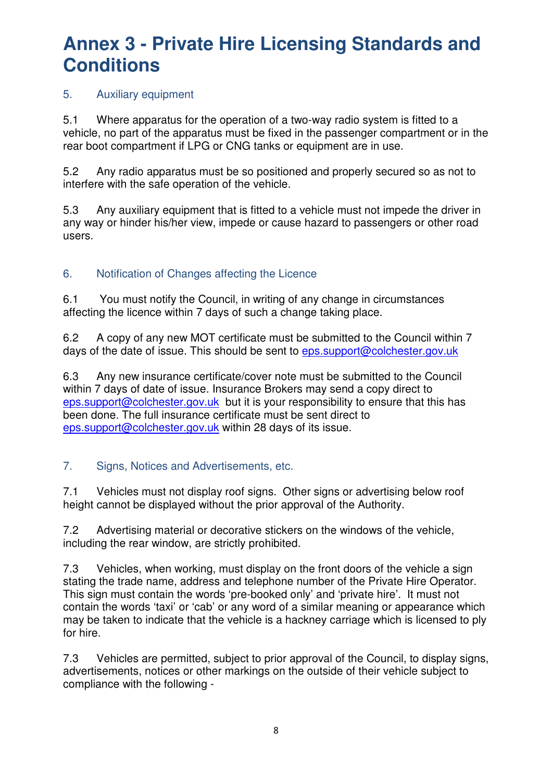### 5. Auxiliary equipment

5.1 Where apparatus for the operation of a two-way radio system is fitted to a vehicle, no part of the apparatus must be fixed in the passenger compartment or in the rear boot compartment if LPG or CNG tanks or equipment are in use.

5.2 Any radio apparatus must be so positioned and properly secured so as not to interfere with the safe operation of the vehicle.

5.3 Any auxiliary equipment that is fitted to a vehicle must not impede the driver in any way or hinder his/her view, impede or cause hazard to passengers or other road users.

### 6. Notification of Changes affecting the Licence

6.1 You must notify the Council, in writing of any change in circumstances affecting the licence within 7 days of such a change taking place.

6.2 A copy of any new MOT certificate must be submitted to the Council within 7 days of the date of issue. This should be sent to eps.support@colchester.gov.uk

6.3 Any new insurance certificate/cover note must be submitted to the Council within 7 days of date of issue. Insurance Brokers may send a copy direct to eps.support@colchester.gov.uk but it is your responsibility to ensure that this has been done. The full insurance certificate must be sent direct to eps.support@colchester.gov.uk within 28 days of its issue.

### 7. Signs, Notices and Advertisements, etc.

7.1 Vehicles must not display roof signs. Other signs or advertising below roof height cannot be displayed without the prior approval of the Authority.

7.2 Advertising material or decorative stickers on the windows of the vehicle, including the rear window, are strictly prohibited.

7.3 Vehicles, when working, must display on the front doors of the vehicle a sign stating the trade name, address and telephone number of the Private Hire Operator. This sign must contain the words 'pre-booked only' and 'private hire'. It must not contain the words 'taxi' or 'cab' or any word of a similar meaning or appearance which may be taken to indicate that the vehicle is a hackney carriage which is licensed to ply for hire.

7.3 Vehicles are permitted, subject to prior approval of the Council, to display signs, advertisements, notices or other markings on the outside of their vehicle subject to compliance with the following -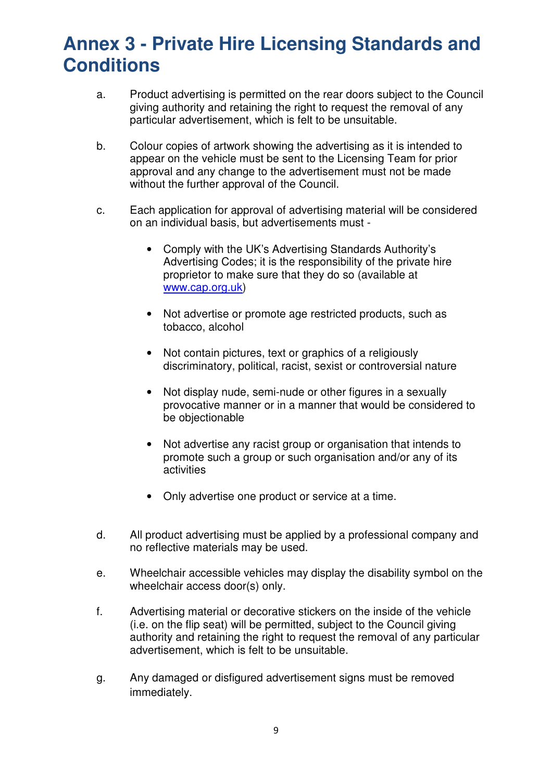- a. Product advertising is permitted on the rear doors subject to the Council giving authority and retaining the right to request the removal of any particular advertisement, which is felt to be unsuitable.
- b. Colour copies of artwork showing the advertising as it is intended to appear on the vehicle must be sent to the Licensing Team for prior approval and any change to the advertisement must not be made without the further approval of the Council.
- c. Each application for approval of advertising material will be considered on an individual basis, but advertisements must -
	- Comply with the UK's Advertising Standards Authority's Advertising Codes; it is the responsibility of the private hire proprietor to make sure that they do so (available at www.cap.org.uk)
	- Not advertise or promote age restricted products, such as tobacco, alcohol
	- Not contain pictures, text or graphics of a religiously discriminatory, political, racist, sexist or controversial nature
	- Not display nude, semi-nude or other figures in a sexually provocative manner or in a manner that would be considered to be objectionable
	- Not advertise any racist group or organisation that intends to promote such a group or such organisation and/or any of its activities
	- Only advertise one product or service at a time.
- d. All product advertising must be applied by a professional company and no reflective materials may be used.
- e. Wheelchair accessible vehicles may display the disability symbol on the wheelchair access door(s) only.
- f. Advertising material or decorative stickers on the inside of the vehicle (i.e. on the flip seat) will be permitted, subject to the Council giving authority and retaining the right to request the removal of any particular advertisement, which is felt to be unsuitable.
- g. Any damaged or disfigured advertisement signs must be removed immediately.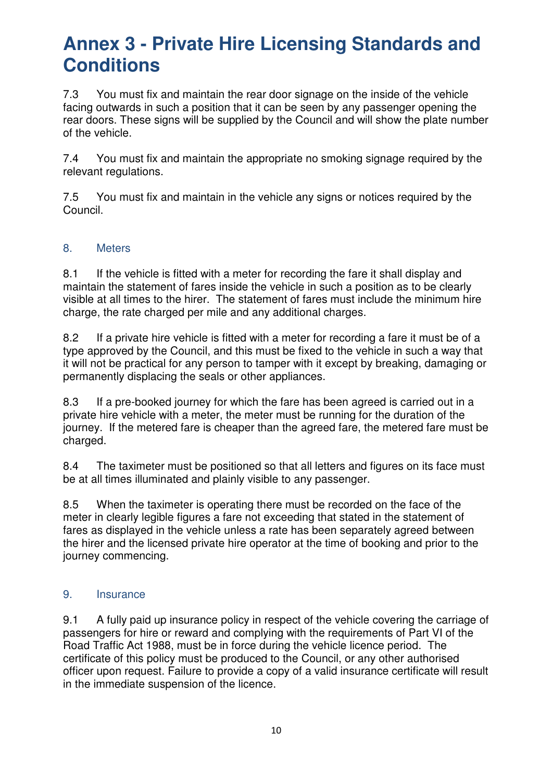7.3 You must fix and maintain the rear door signage on the inside of the vehicle facing outwards in such a position that it can be seen by any passenger opening the rear doors. These signs will be supplied by the Council and will show the plate number of the vehicle.

7.4 You must fix and maintain the appropriate no smoking signage required by the relevant regulations.

7.5 You must fix and maintain in the vehicle any signs or notices required by the Council.

### 8. Meters

8.1 If the vehicle is fitted with a meter for recording the fare it shall display and maintain the statement of fares inside the vehicle in such a position as to be clearly visible at all times to the hirer. The statement of fares must include the minimum hire charge, the rate charged per mile and any additional charges.

8.2 If a private hire vehicle is fitted with a meter for recording a fare it must be of a type approved by the Council, and this must be fixed to the vehicle in such a way that it will not be practical for any person to tamper with it except by breaking, damaging or permanently displacing the seals or other appliances.

8.3 If a pre-booked journey for which the fare has been agreed is carried out in a private hire vehicle with a meter, the meter must be running for the duration of the journey. If the metered fare is cheaper than the agreed fare, the metered fare must be charged.

8.4 The taximeter must be positioned so that all letters and figures on its face must be at all times illuminated and plainly visible to any passenger.

8.5 When the taximeter is operating there must be recorded on the face of the meter in clearly legible figures a fare not exceeding that stated in the statement of fares as displayed in the vehicle unless a rate has been separately agreed between the hirer and the licensed private hire operator at the time of booking and prior to the journey commencing.

#### 9. Insurance

9.1 A fully paid up insurance policy in respect of the vehicle covering the carriage of passengers for hire or reward and complying with the requirements of Part VI of the Road Traffic Act 1988, must be in force during the vehicle licence period. The certificate of this policy must be produced to the Council, or any other authorised officer upon request. Failure to provide a copy of a valid insurance certificate will result in the immediate suspension of the licence.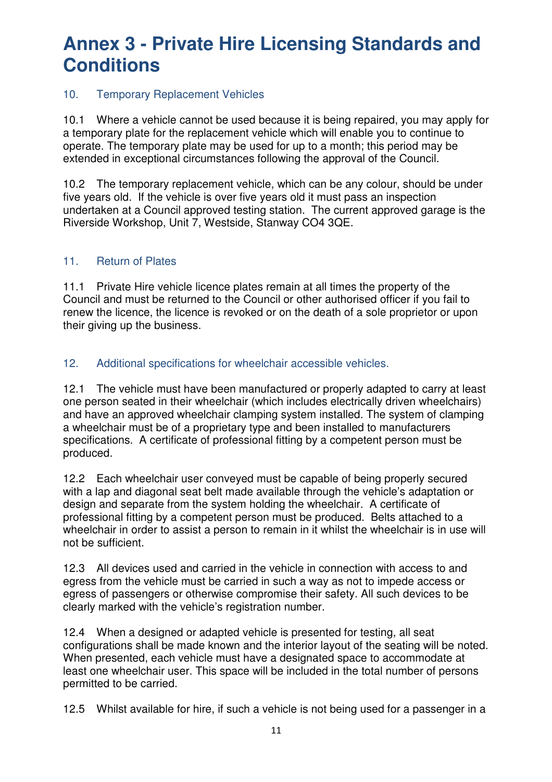### 10. Temporary Replacement Vehicles

10.1 Where a vehicle cannot be used because it is being repaired, you may apply for a temporary plate for the replacement vehicle which will enable you to continue to operate. The temporary plate may be used for up to a month; this period may be extended in exceptional circumstances following the approval of the Council.

10.2 The temporary replacement vehicle, which can be any colour, should be under five years old. If the vehicle is over five years old it must pass an inspection undertaken at a Council approved testing station. The current approved garage is the Riverside Workshop, Unit 7, Westside, Stanway CO4 3QE.

#### 11. Return of Plates

11.1 Private Hire vehicle licence plates remain at all times the property of the Council and must be returned to the Council or other authorised officer if you fail to renew the licence, the licence is revoked or on the death of a sole proprietor or upon their giving up the business.

12. Additional specifications for wheelchair accessible vehicles.

12.1 The vehicle must have been manufactured or properly adapted to carry at least one person seated in their wheelchair (which includes electrically driven wheelchairs) and have an approved wheelchair clamping system installed. The system of clamping a wheelchair must be of a proprietary type and been installed to manufacturers specifications. A certificate of professional fitting by a competent person must be produced.

12.2 Each wheelchair user conveyed must be capable of being properly secured with a lap and diagonal seat belt made available through the vehicle's adaptation or design and separate from the system holding the wheelchair. A certificate of professional fitting by a competent person must be produced. Belts attached to a wheelchair in order to assist a person to remain in it whilst the wheelchair is in use will not be sufficient.

12.3 All devices used and carried in the vehicle in connection with access to and egress from the vehicle must be carried in such a way as not to impede access or egress of passengers or otherwise compromise their safety. All such devices to be clearly marked with the vehicle's registration number.

12.4 When a designed or adapted vehicle is presented for testing, all seat configurations shall be made known and the interior layout of the seating will be noted. When presented, each vehicle must have a designated space to accommodate at least one wheelchair user. This space will be included in the total number of persons permitted to be carried.

12.5 Whilst available for hire, if such a vehicle is not being used for a passenger in a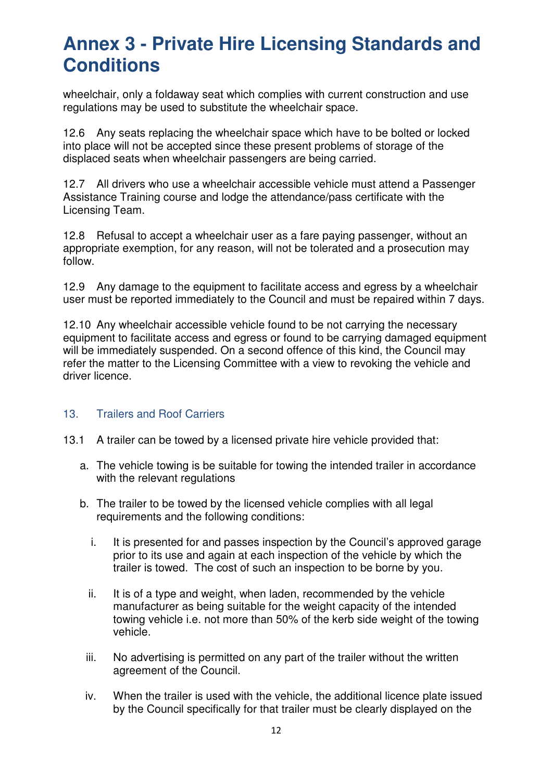wheelchair, only a foldaway seat which complies with current construction and use regulations may be used to substitute the wheelchair space.

12.6 Any seats replacing the wheelchair space which have to be bolted or locked into place will not be accepted since these present problems of storage of the displaced seats when wheelchair passengers are being carried.

12.7 All drivers who use a wheelchair accessible vehicle must attend a Passenger Assistance Training course and lodge the attendance/pass certificate with the Licensing Team.

12.8 Refusal to accept a wheelchair user as a fare paying passenger, without an appropriate exemption, for any reason, will not be tolerated and a prosecution may follow.

12.9 Any damage to the equipment to facilitate access and egress by a wheelchair user must be reported immediately to the Council and must be repaired within 7 days.

12.10 Any wheelchair accessible vehicle found to be not carrying the necessary equipment to facilitate access and egress or found to be carrying damaged equipment will be immediately suspended. On a second offence of this kind, the Council may refer the matter to the Licensing Committee with a view to revoking the vehicle and driver licence.

#### 13. Trailers and Roof Carriers

- 13.1 A trailer can be towed by a licensed private hire vehicle provided that:
	- a. The vehicle towing is be suitable for towing the intended trailer in accordance with the relevant regulations
	- b. The trailer to be towed by the licensed vehicle complies with all legal requirements and the following conditions:
		- i. It is presented for and passes inspection by the Council's approved garage prior to its use and again at each inspection of the vehicle by which the trailer is towed. The cost of such an inspection to be borne by you.
		- ii. It is of a type and weight, when laden, recommended by the vehicle manufacturer as being suitable for the weight capacity of the intended towing vehicle i.e. not more than 50% of the kerb side weight of the towing vehicle.
		- iii. No advertising is permitted on any part of the trailer without the written agreement of the Council.
		- iv. When the trailer is used with the vehicle, the additional licence plate issued by the Council specifically for that trailer must be clearly displayed on the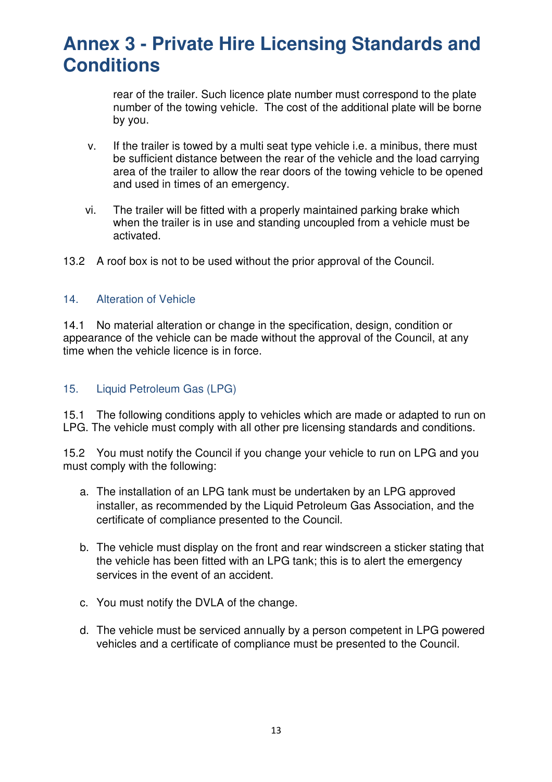rear of the trailer. Such licence plate number must correspond to the plate number of the towing vehicle. The cost of the additional plate will be borne by you.

- v. If the trailer is towed by a multi seat type vehicle i.e. a minibus, there must be sufficient distance between the rear of the vehicle and the load carrying area of the trailer to allow the rear doors of the towing vehicle to be opened and used in times of an emergency.
- vi. The trailer will be fitted with a properly maintained parking brake which when the trailer is in use and standing uncoupled from a vehicle must be activated.
- 13.2 A roof box is not to be used without the prior approval of the Council.

#### 14. Alteration of Vehicle

14.1 No material alteration or change in the specification, design, condition or appearance of the vehicle can be made without the approval of the Council, at any time when the vehicle licence is in force.

#### 15. Liquid Petroleum Gas (LPG)

15.1 The following conditions apply to vehicles which are made or adapted to run on LPG. The vehicle must comply with all other pre licensing standards and conditions.

15.2 You must notify the Council if you change your vehicle to run on LPG and you must comply with the following:

- a. The installation of an LPG tank must be undertaken by an LPG approved installer, as recommended by the Liquid Petroleum Gas Association, and the certificate of compliance presented to the Council.
- b. The vehicle must display on the front and rear windscreen a sticker stating that the vehicle has been fitted with an LPG tank; this is to alert the emergency services in the event of an accident.
- c. You must notify the DVLA of the change.
- d. The vehicle must be serviced annually by a person competent in LPG powered vehicles and a certificate of compliance must be presented to the Council.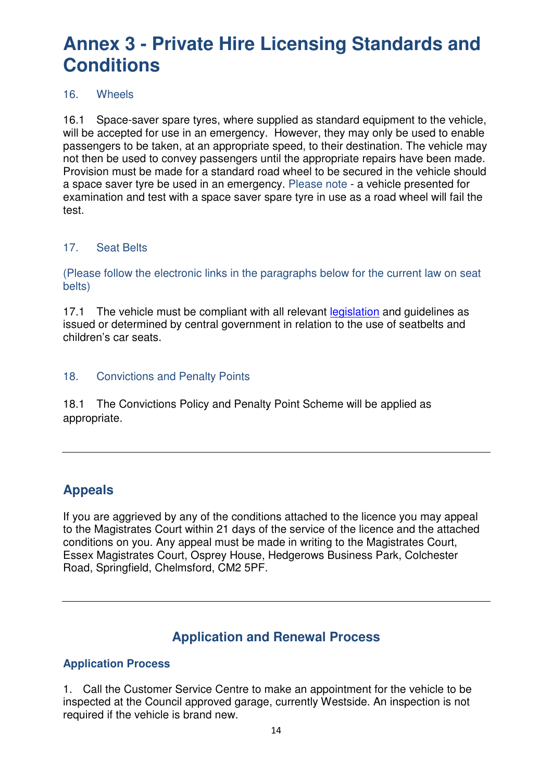#### 16. Wheels

16.1 Space-saver spare tyres, where supplied as standard equipment to the vehicle, will be accepted for use in an emergency. However, they may only be used to enable passengers to be taken, at an appropriate speed, to their destination. The vehicle may not then be used to convey passengers until the appropriate repairs have been made. Provision must be made for a standard road wheel to be secured in the vehicle should a space saver tyre be used in an emergency. Please note - a vehicle presented for examination and test with a space saver spare tyre in use as a road wheel will fail the test.

### 17. Seat Belts

(Please follow the electronic links in the paragraphs below for the current law on seat belts)

17.1 The vehicle must be compliant with all relevant legislation and quidelines as issued or determined by central government in relation to the use of seatbelts and children's car seats.

### 18. Convictions and Penalty Points

18.1 The Convictions Policy and Penalty Point Scheme will be applied as appropriate.

## **Appeals**

If you are aggrieved by any of the conditions attached to the licence you may appeal to the Magistrates Court within 21 days of the service of the licence and the attached conditions on you. Any appeal must be made in writing to the Magistrates Court, Essex Magistrates Court, Osprey House, Hedgerows Business Park, Colchester Road, Springfield, Chelmsford, CM2 5PF.

## **Application and Renewal Process**

### **Application Process**

1. Call the Customer Service Centre to make an appointment for the vehicle to be inspected at the Council approved garage, currently Westside. An inspection is not required if the vehicle is brand new.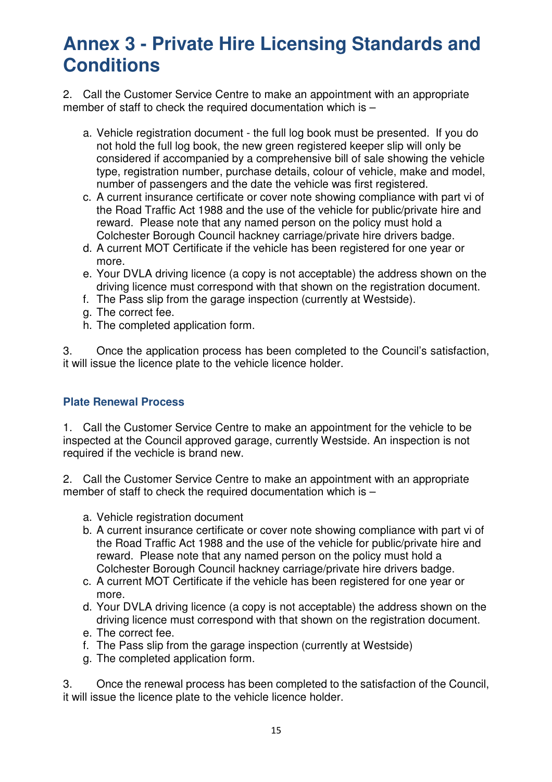2. Call the Customer Service Centre to make an appointment with an appropriate member of staff to check the required documentation which is –

- a. Vehicle registration document the full log book must be presented. If you do not hold the full log book, the new green registered keeper slip will only be considered if accompanied by a comprehensive bill of sale showing the vehicle type, registration number, purchase details, colour of vehicle, make and model, number of passengers and the date the vehicle was first registered.
- c. A current insurance certificate or cover note showing compliance with part vi of the Road Traffic Act 1988 and the use of the vehicle for public/private hire and reward. Please note that any named person on the policy must hold a Colchester Borough Council hackney carriage/private hire drivers badge.
- d. A current MOT Certificate if the vehicle has been registered for one year or more.
- e. Your DVLA driving licence (a copy is not acceptable) the address shown on the driving licence must correspond with that shown on the registration document.
- f. The Pass slip from the garage inspection (currently at Westside).
- g. The correct fee.
- h. The completed application form.

3. Once the application process has been completed to the Council's satisfaction, it will issue the licence plate to the vehicle licence holder.

#### **Plate Renewal Process**

1. Call the Customer Service Centre to make an appointment for the vehicle to be inspected at the Council approved garage, currently Westside. An inspection is not required if the vechicle is brand new.

2. Call the Customer Service Centre to make an appointment with an appropriate member of staff to check the required documentation which is –

- a. Vehicle registration document
- b. A current insurance certificate or cover note showing compliance with part vi of the Road Traffic Act 1988 and the use of the vehicle for public/private hire and reward. Please note that any named person on the policy must hold a Colchester Borough Council hackney carriage/private hire drivers badge.
- c. A current MOT Certificate if the vehicle has been registered for one year or more.
- d. Your DVLA driving licence (a copy is not acceptable) the address shown on the driving licence must correspond with that shown on the registration document.
- e. The correct fee.
- f. The Pass slip from the garage inspection (currently at Westside)
- g. The completed application form.

3. Once the renewal process has been completed to the satisfaction of the Council, it will issue the licence plate to the vehicle licence holder.